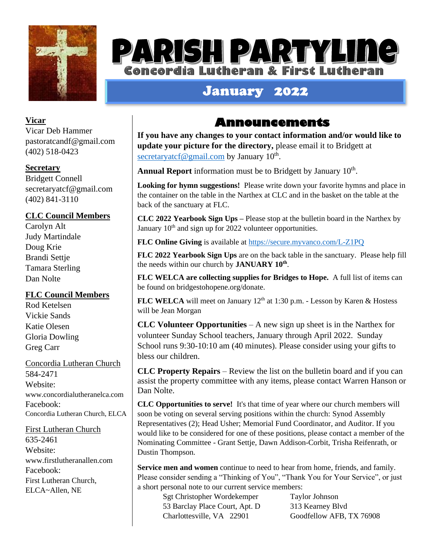



# **January 2022**

### **Vicar**

Vicar Deb Hammer pastoratcandf@gmail.com (402) 518-0423

## **Secretary**

Bridgett Connell secretaryatcf@gmail.com (402) 841-3110

## **CLC Council Members**

Carolyn Alt Judy Martindale Doug Krie Brandi Settje Tamara Sterling Dan Nolte

## **FLC Council Members**

Rod Ketelsen Vickie Sands Katie Olesen Gloria Dowling Greg Carr

### Concordia Lutheran Church 584-2471 Website: www.concordialutheranelca.com Facebook: Concordia Lutheran Church, ELCA

### First Lutheran Church 635-2461 Website: www.firstlutheranallen.com Facebook: First Lutheran Church, ELCA~Allen, NE

# **Announcements**

**If you have any changes to your contact information and/or would like to update your picture for the directory,** please email it to Bridgett at [secretaryatcf@gmail.com](mailto:secretaryatcf@gmail.com) by January 10<sup>th</sup>.

Annual Report information must be to Bridgett by January 10<sup>th</sup>.

**Looking for hymn suggestions!** Please write down your favorite hymns and place in the container on the table in the Narthex at CLC and in the basket on the table at the back of the sanctuary at FLC.

**CLC 2022 Yearbook Sign Ups –** Please stop at the bulletin board in the Narthex by January 10<sup>th</sup> and sign up for 2022 volunteer opportunities.

**FLC Online Giving** is available at <https://secure.myvanco.com/L-Z1PQ>

**FLC 2022 Yearbook Sign Ups** are on the back table in the sanctuary. Please help fill the needs within our church by **JANUARY 10th** .

**FLC WELCA are collecting supplies for Bridges to Hope.** A full list of items can be found on bridgestohopene.org/donate.

**FLC WELCA** will meet on January  $12<sup>th</sup>$  at  $1:30$  p.m. - Lesson by Karen & Hostess will be Jean Morgan

**CLC Volunteer Opportunities** – A new sign up sheet is in the Narthex for volunteer Sunday School teachers, January through April 2022. Sunday School runs 9:30-10:10 am (40 minutes). Please consider using your gifts to bless our children.

**CLC Property Repairs** – Review the list on the bulletin board and if you can assist the property committee with any items, please contact Warren Hanson or Dan Nolte.

**CLC Opportunities to serve!** It's that time of year where our church members will soon be voting on several serving positions within the church: Synod Assembly Representatives (2); Head Usher; Memorial Fund Coordinator, and Auditor. If you would like to be considered for one of these positions, please contact a member of the Nominating Committee - Grant Settje, Dawn Addison-Corbit, Trisha Reifenrath, or Dustin Thompson.

**Service men and women** continue to need to hear from home, friends, and family. Please consider sending a "Thinking of You", "Thank You for Your Service", or just a short personal note to our current service members:

Sgt Christopher Wordekemper Taylor Johnson 53 Barclay Place Court, Apt. D 313 Kearney Blvd Charlottesville, VA 22901 Goodfellow AFB, TX 76908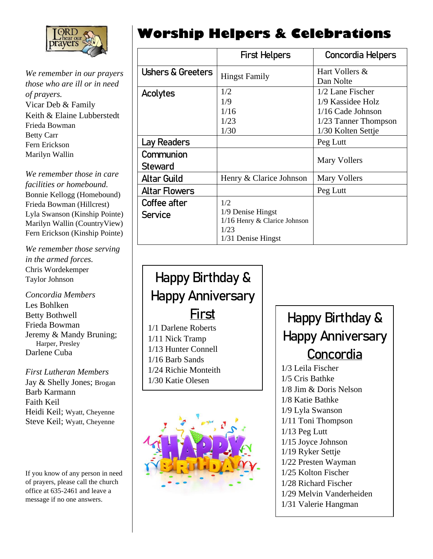

*We remember in our prayers those who are ill or in need of prayers.* Vicar Deb & Family Keith & Elaine Lubberstedt Frieda Bowman Betty Carr Fern Erickson Marilyn Wallin

*We remember those in care facilities or homebound.* Bonnie Kellogg (Homebound) Frieda Bowman (Hillcrest) Lyla Swanson (Kinship Pointe) Marilyn Wallin (CountryView) Fern Erickson (Kinship Pointe)

*We remember those serving in the armed forces.* Chris Wordekemper Taylor Johnson

*Concordia Members* Les Bohlken Betty Bothwell Frieda Bowman Jeremy & Mandy Bruning; Harper, Presley Darlene Cuba

#### *First Lutheran Members*

Jay & Shelly Jones; Brogan Barb Karmann Faith Keil Heidi Keil; Wyatt, Cheyenne Steve Keil; Wyatt, Cheyenne

If you know of any person in need of prayers, please call the church office at 635-2461 and leave a message if no one answers.

# **Worship Helpers & Celebrations**

|                                | <b>First Helpers</b>                                                                     | <b>Concordia Helpers</b>                                                                                       |
|--------------------------------|------------------------------------------------------------------------------------------|----------------------------------------------------------------------------------------------------------------|
| Ushers & Greeters              | <b>Hingst Family</b>                                                                     | Hart Vollers &<br>Dan Nolte                                                                                    |
| Acolytes                       | 1/2<br>1/9<br>1/16<br>1/23<br>1/30                                                       | $1/2$ Lane Fischer<br>$1/9$ Kassidee Holz<br>$1/16$ Cade Johnson<br>1/23 Tanner Thompson<br>1/30 Kolten Settje |
| Lay Readers                    |                                                                                          | Peg Lutt                                                                                                       |
| Communion<br><b>Steward</b>    |                                                                                          | Mary Vollers                                                                                                   |
| <b>Altar Guild</b>             | Henry & Clarice Johnson                                                                  | Mary Vollers                                                                                                   |
| <b>Altar Flowers</b>           |                                                                                          | Peg Lutt                                                                                                       |
| Coffee after<br><b>Service</b> | 1/2<br>1/9 Denise Hingst<br>$1/16$ Henry & Clarice Johnson<br>1/23<br>1/31 Denise Hingst |                                                                                                                |

# **Happy Birthday & Happy Anniversary First** 1/1 Darlene Roberts 1/11 Nick Tramp 1/13 Hunter Connell 1/16 Barb Sands 1/24 Richie Monteith 1/30 Katie Olesen



# **Happy Birthday & Happy Anniversary Concordia**

1/3 Leila Fischer 1/5 Cris Bathke 1/8 Jim & Doris Nelson 1/8 Katie Bathke 1/9 Lyla Swanson 1/11 Toni Thompson 1/13 Peg Lutt 1/15 Joyce Johnson 1/19 Ryker Settje 1/22 Presten Wayman 1/25 Kolton Fischer 1/28 Richard Fischer 1/29 Melvin Vanderheiden 1/31 Valerie Hangman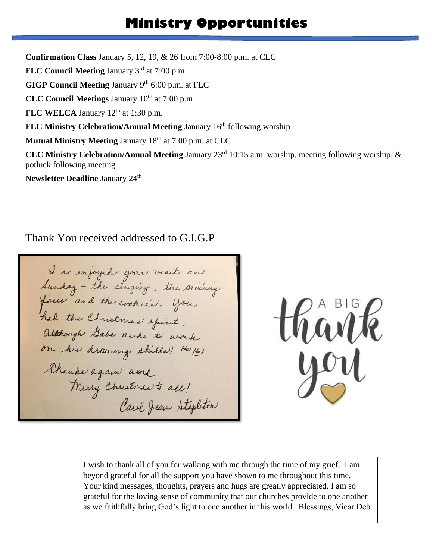# **Ministry Opportunities**

**Confirmation Class** January 5, 12, 19, & 26 from 7:00-8:00 p.m. at CLC

**FLC Council Meeting** January 3<sup>rd</sup> at 7:00 p.m.

**GIGP Council Meeting** January 9<sup>th</sup> 6:00 p.m. at FLC

**CLC Council Meetings January 10<sup>th</sup> at 7:00 p.m.** 

**FLC WELCA** January  $12<sup>th</sup>$  at 1:30 p.m.

**FLC Ministry Celebration/Annual Meeting January 16<sup>th</sup> following worship** 

**Mutual Ministry Meeting January 18<sup>th</sup> at 7:00 p.m. at CLC** 

**CLC Ministry Celebration/Annual Meeting** January 23rd 10:15 a.m. worship, meeting following worship, & potluck following meeting

**Newsletter Deadline** January 24<sup>th</sup>

# Thank You received addressed to G.I.G.P

I so enjoyed your visit on faces and the cookie's. you had the Christmas spirit. although Gabe needs to work on his drawing skills! Hal Hal Chanks again aone Merry Christman to all! Carol Jean Stapleton



I wish to thank all of you for walking with me through the time of my grief. I am beyond grateful for all the support you have shown to me throughout this time. Your kind messages, thoughts, prayers and hugs are greatly appreciated. I am so grateful for the loving sense of community that our churches provide to one another as we faithfully bring God's light to one another in this world. Blessings, Vicar Deb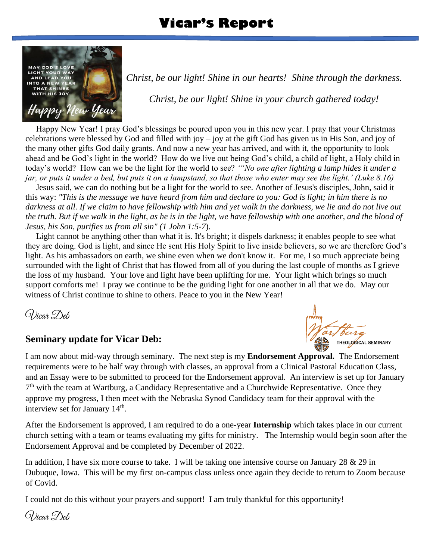# **Vicar's Report**



*Christ, be our light! Shine in our hearts! Shine through the darkness.*

*Christ, be our light! Shine in your church gathered today!*

 Happy New Year! I pray God's blessings be poured upon you in this new year. I pray that your Christmas celebrations were blessed by God and filled with joy – joy at the gift God has given us in His Son, and joy of the many other gifts God daily grants. And now a new year has arrived, and with it, the opportunity to look ahead and be God's light in the world? How do we live out being God's child, a child of light, a Holy child in today's world? How can we be the light for the world to see? *'"No one after lighting a lamp hides it under a jar, or puts it under a bed, but puts it on a lampstand, so that those who enter may see the light.' (Luke 8.16)*

 Jesus said, we can do nothing but be a light for the world to see. Another of Jesus's disciples, John, said it this way: *"This is the message we have heard from him and declare to you: God is light; in him there is no*  darkness at all. If we claim to have fellowship with him and yet walk in the darkness, we lie and do not live out *the truth. But if we walk in the light, as he is in the light, we have fellowship with one another, and the blood of Jesus, his Son, purifies us from all sin" [\(1 John 1:5-7](http://biblegateway.com/bible?version=ESV&passage=1%20John+1:5-7)*).

 Light cannot be anything other than what it is. It's bright; it dispels darkness; it enables people to see what they are doing. God is light, and since He sent His Holy Spirit to live inside believers, so we are therefore God's light. As his ambassadors on earth, we shine even when we don't know it. For me, I so much appreciate being surrounded with the light of Christ that has flowed from all of you during the last couple of months as I grieve the loss of my husband. Your love and light have been uplifting for me. Your light which brings so much support comforts me! I pray we continue to be the guiding light for one another in all that we do. May our witness of Christ continue to shine to others. Peace to you in the New Year!

Vicar Deb

## **Seminary update for Vicar Deb:**

THEOLOGICAL SEMINARY

I am now about mid-way through seminary. The next step is my **Endorsement Approval.** The Endorsement requirements were to be half way through with classes, an approval from a Clinical Pastoral Education Class, and an Essay were to be submitted to proceed for the Endorsement approval. An interview is set up for January 7<sup>th</sup> with the team at Wartburg, a Candidacy Representative and a Churchwide Representative. Once they approve my progress, I then meet with the Nebraska Synod Candidacy team for their approval with the interview set for January 14<sup>th</sup>.

After the Endorsement is approved, I am required to do a one-year **Internship** which takes place in our current church setting with a team or teams evaluating my gifts for ministry. The Internship would begin soon after the Endorsement Approval and be completed by December of 2022.

In addition, I have six more course to take. I will be taking one intensive course on January 28 & 29 in Dubuque, Iowa. This will be my first on-campus class unless once again they decide to return to Zoom because of Covid.

I could not do this without your prayers and support! I am truly thankful for this opportunity!

Vicar Deb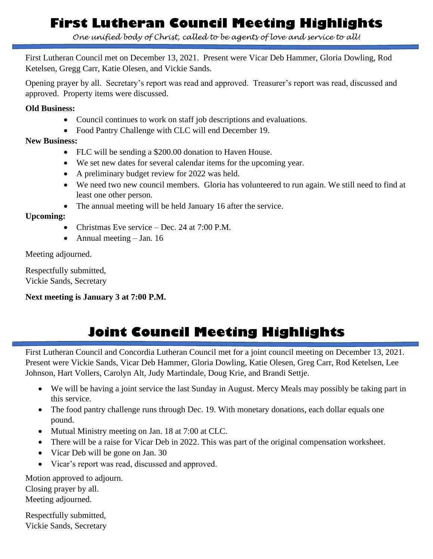# **First Lutheran Council Meeting Highlights**

*One unified body of Christ, called to be agents of love and service to all!*

First Lutheran Council met on December 13, 2021. Present were Vicar Deb Hammer, Gloria Dowling, Rod Ketelsen, Gregg Carr, Katie Olesen, and Vickie Sands.

Opening prayer by all. Secretary's report was read and approved. Treasurer's report was read, discussed and approved. Property items were discussed.

### **Old Business:**

- Council continues to work on staff job descriptions and evaluations.
- Food Pantry Challenge with CLC will end December 19.

### **New Business:**

- FLC will be sending a \$200.00 donation to Haven House.
- We set new dates for several calendar items for the upcoming year.
- A preliminary budget review for 2022 was held.
- We need two new council members. Gloria has volunteered to run again. We still need to find at least one other person.
- The annual meeting will be held January 16 after the service.

### **Upcoming:**

- Christmas Eve service Dec. 24 at 7:00 P.M.
- Annual meeting Jan. 16

Meeting adjourned.

Respectfully submitted, Vickie Sands, Secretary

**Next meeting is January 3 at 7:00 P.M.**

# **Joint Council Meeting Highlights**

First Lutheran Council and Concordia Lutheran Council met for a joint council meeting on December 13, 2021. Present were Vickie Sands, Vicar Deb Hammer, Gloria Dowling, Katie Olesen, Greg Carr, Rod Ketelsen, Lee Johnson, Hart Vollers, Carolyn Alt, Judy Martindale, Doug Krie, and Brandi Settje.

- We will be having a joint service the last Sunday in August. Mercy Meals may possibly be taking part in this service.
- The food pantry challenge runs through Dec. 19. With monetary donations, each dollar equals one pound.
- Mutual Ministry meeting on Jan. 18 at 7:00 at CLC.
- There will be a raise for Vicar Deb in 2022. This was part of the original compensation worksheet.
- Vicar Deb will be gone on Jan. 30
- Vicar's report was read, discussed and approved.

Motion approved to adjourn. Closing prayer by all. Meeting adjourned.

Respectfully submitted, Vickie Sands, Secretary